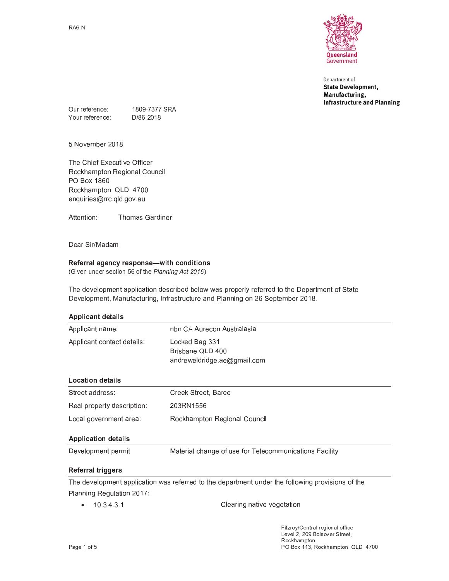

Department of **State Development,** Manufacturing, **Infrastructure and Planning** 

1809-7377 SRA Our reference: Your reference: D/86-2018

5 November 2018

The Chief Executive Officer Rockhampton Regional Council PO Box 1860 Rockhampton QLD 4700 enquiries@rrc.qld.gov.au

Attention: **Thomas Gardiner** 

Dear Sir/Madam

## Referral agency response-with conditions

(Given under section 56 of the Planning Act 2016)

The development application described below was properly referred to the Department of State Development, Manufacturing, Infrastructure and Planning on 26 September 2018.

| <b>Applicant details</b>   |                                                                                                                 |  |  |
|----------------------------|-----------------------------------------------------------------------------------------------------------------|--|--|
| Applicant name:            | nbn C/- Aurecon Australasia                                                                                     |  |  |
| Applicant contact details: | Locked Bag 331<br>Brisbane QLD 400<br>andreweldridge.ae@gmail.com                                               |  |  |
| <b>Location details</b>    |                                                                                                                 |  |  |
| Street address:            | Creek Street, Baree                                                                                             |  |  |
| Real property description: | 203RN1556                                                                                                       |  |  |
| Local government area:     | Rockhampton Regional Council                                                                                    |  |  |
| <b>Application details</b> |                                                                                                                 |  |  |
| Development permit         | Material change of use for Telecommunications Facility                                                          |  |  |
| <b>Referral triggers</b>   |                                                                                                                 |  |  |
|                            | the contract of the contract of the contract of the contract of the contract of the contract of the contract of |  |  |

The development application was referred to the department under the following provisions of the Planning Regulation 2017:

 $-10.3431$ Clearing native vegetation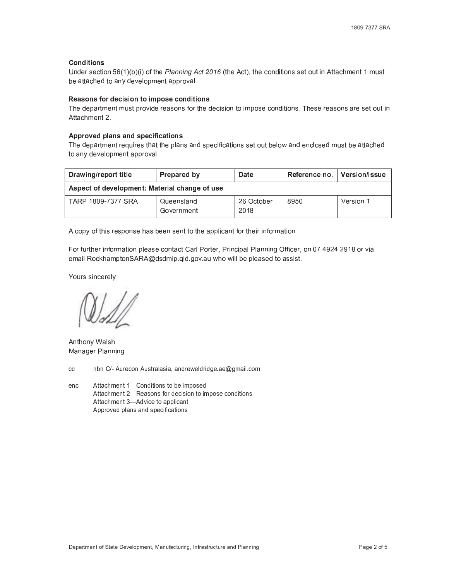### **Conditions**

Under section  $56(1)(b)(i)$  of the Planning Act 2016 (the Act), the conditions set out in Attachment 1 must be attached to any development approval.

### Reasons for decision to impose conditions

The department must provide reasons for the decision to impose conditions. These reasons are set out in Attachment 2.

#### Approved plans and specifications

The department requires that the plans and specifications set out below and enclosed must be attached to any development approval.

| <b>Drawing/report title</b>                   | <b>Prepared by</b>       | Date               | Reference no. | ∣ Version/issue |  |  |
|-----------------------------------------------|--------------------------|--------------------|---------------|-----------------|--|--|
| Aspect of development: Material change of use |                          |                    |               |                 |  |  |
| TARP 1809-7377 SRA                            | Queensland<br>Government | 26 October<br>2018 | 8950          | Version 1       |  |  |

A copy of this response has been sent to the applicant for their information.

For further information please contact Carl Porter, Principal Planning Officer, on 07 4924 2918 or via email RockhamptonSARA@dsdmip.qld.gov.au who will be pleased to assist.

Yours sincerely

Anthony Walsh Manager Planning

cc 
nbn C/- Aurecon Australasia, andreweldridge.ae@gmail.com

enc Attachment 1—Conditions to be imposed Attachment 2-Reasons for decision to impose conditions Attachment 3-Advice to applicant Approved plans and specifications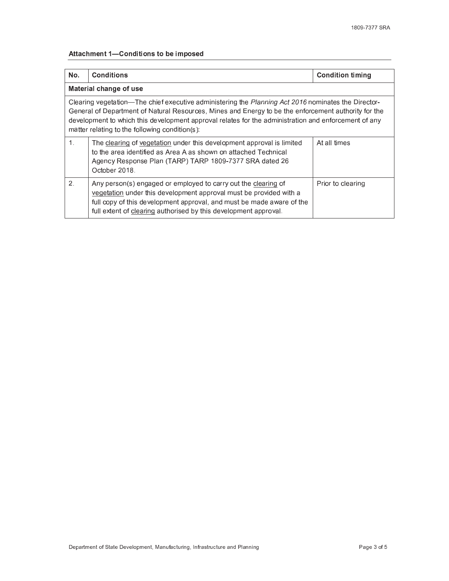# Attachment 1-Conditions to be imposed

| No.                                                                                                                                                                                                                                                                                                                                                                   | <b>Conditions</b>                                                                                                                                                                                                                                                                 | <b>Condition timing</b> |  |  |
|-----------------------------------------------------------------------------------------------------------------------------------------------------------------------------------------------------------------------------------------------------------------------------------------------------------------------------------------------------------------------|-----------------------------------------------------------------------------------------------------------------------------------------------------------------------------------------------------------------------------------------------------------------------------------|-------------------------|--|--|
| Material change of use                                                                                                                                                                                                                                                                                                                                                |                                                                                                                                                                                                                                                                                   |                         |  |  |
| Clearing vegetation—The chief executive administering the Planning Act 2016 nominates the Director-<br>General of Department of Natural Resources, Mines and Energy to be the enforcement authority for the<br>development to which this development approval relates for the administration and enforcement of any<br>matter relating to the following condition(s): |                                                                                                                                                                                                                                                                                   |                         |  |  |
| $\mathbf 1$ .                                                                                                                                                                                                                                                                                                                                                         | The clearing of vegetation under this development approval is limited<br>to the area identified as Area A as shown on attached Technical<br>Agency Response Plan (TARP) TARP 1809-7377 SRA dated 26<br>October 2018.                                                              | At all times            |  |  |
| $\overline{2}$ .                                                                                                                                                                                                                                                                                                                                                      | Any person(s) engaged or employed to carry out the clearing of<br>vegetation under this development approval must be provided with a<br>full copy of this development approval, and must be made aware of the<br>full extent of clearing authorised by this development approval. | Prior to clearing       |  |  |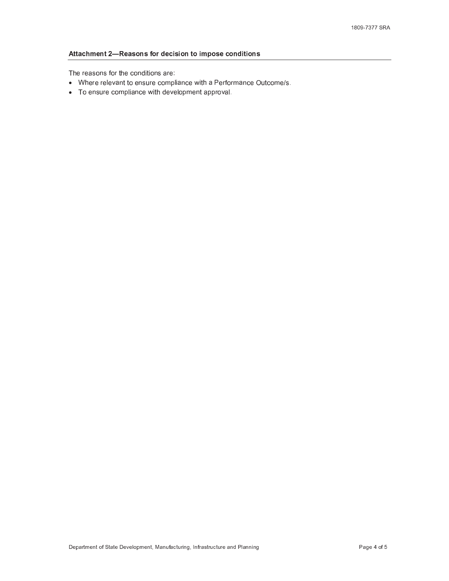# Attachment 2-Reasons for decision to impose conditions

The reasons for the conditions are:

- Where relevant to ensure compliance with a Performance Outcome/s.
- To ensure compliance with development approval.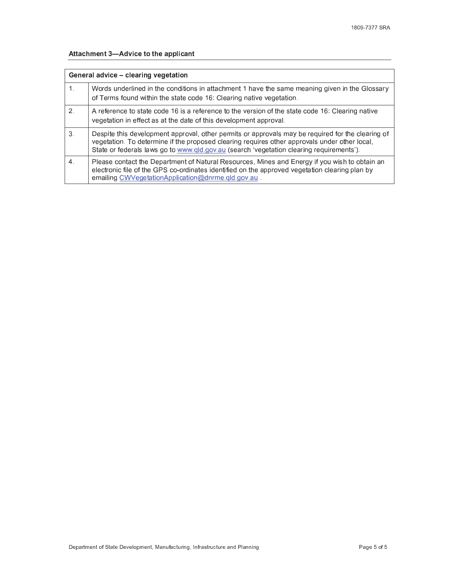# Attachment 3-Advice to the applicant

| General advice – clearing vegetation |                                                                                                                                                                                                                                                                                                |  |
|--------------------------------------|------------------------------------------------------------------------------------------------------------------------------------------------------------------------------------------------------------------------------------------------------------------------------------------------|--|
| 1.                                   | Words underlined in the conditions in attachment 1 have the same meaning given in the Glossary<br>of Terms found within the state code 16: Clearing native vegetation.                                                                                                                         |  |
| 2.                                   | A reference to state code 16 is a reference to the version of the state code 16: Clearing native<br>vegetation in effect as at the date of this development approval.                                                                                                                          |  |
| 3.                                   | Despite this development approval, other permits or approvals may be required for the clearing of<br>vegetation. To determine if the proposed clearing requires other approvals under other local,<br>State or federals laws go to www.qld.gov.au (search 'vegetation clearing requirements'). |  |
| 4.                                   | Please contact the Department of Natural Resources, Mines and Energy if you wish to obtain an<br>electronic file of the GPS co-ordinates identified on the approved vegetation clearing plan by<br>emailing CWVegetationApplication@dnrme.qld.gov.au                                           |  |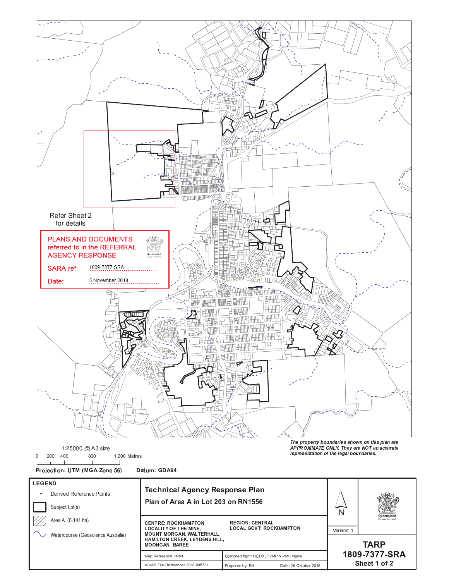